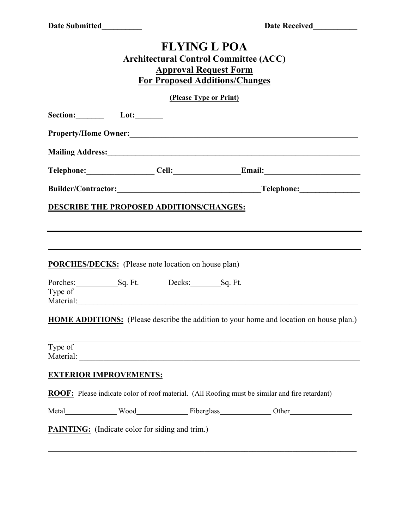| <b>FLYING L POA</b><br><b>Architectural Control Committee (ACC)</b><br><b>Approval Request Form</b><br><b>For Proposed Additions/Changes</b>                                                               |                                                     |  |  |  |  |  |  |  |
|------------------------------------------------------------------------------------------------------------------------------------------------------------------------------------------------------------|-----------------------------------------------------|--|--|--|--|--|--|--|
| (Please Type or Print)                                                                                                                                                                                     |                                                     |  |  |  |  |  |  |  |
| Section: Lot:                                                                                                                                                                                              |                                                     |  |  |  |  |  |  |  |
| Property/Home Owner:<br><u>Department</u>                                                                                                                                                                  |                                                     |  |  |  |  |  |  |  |
| Mailing Address: 1988 and 2008 and 2008 and 2008 and 2008 and 2008 and 2008 and 2008 and 2008 and 2008 and 200                                                                                             |                                                     |  |  |  |  |  |  |  |
| Telephone: Cell: Email: Email:                                                                                                                                                                             |                                                     |  |  |  |  |  |  |  |
|                                                                                                                                                                                                            |                                                     |  |  |  |  |  |  |  |
| <b>DESCRIBE THE PROPOSED ADDITIONS/CHANGES:</b>                                                                                                                                                            |                                                     |  |  |  |  |  |  |  |
| <b>PORCHES/DECKS:</b> (Please note location on house plan)<br>Porches: Sq. Ft. Decks: Sq. Ft.<br>Type of<br><b>HOME ADDITIONS:</b> (Please describe the addition to your home and location on house plan.) |                                                     |  |  |  |  |  |  |  |
| Type of<br>Material:                                                                                                                                                                                       | <u> 1989 - Johann Barbara, martxa alemaniar arg</u> |  |  |  |  |  |  |  |
| <b>EXTERIOR IMPROVEMENTS:</b>                                                                                                                                                                              |                                                     |  |  |  |  |  |  |  |
| <b>ROOF:</b> Please indicate color of roof material. (All Roofing must be similar and fire retardant)                                                                                                      |                                                     |  |  |  |  |  |  |  |
|                                                                                                                                                                                                            |                                                     |  |  |  |  |  |  |  |
| <b>PAINTING:</b> (Indicate color for siding and trim.)                                                                                                                                                     |                                                     |  |  |  |  |  |  |  |